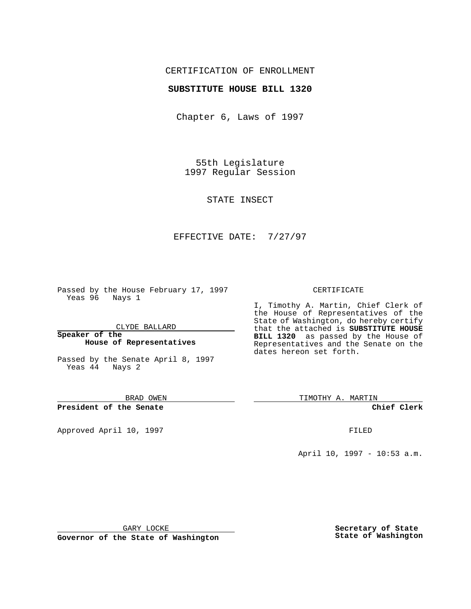## CERTIFICATION OF ENROLLMENT

## **SUBSTITUTE HOUSE BILL 1320**

Chapter 6, Laws of 1997

55th Legislature 1997 Regular Session

STATE INSECT

## EFFECTIVE DATE: 7/27/97

Passed by the House February 17, 1997 Yeas 96 Nays 1

CLYDE BALLARD

**Speaker of the House of Representatives**

Passed by the Senate April 8, 1997 Yeas 44 Nays 2

BRAD OWEN

**President of the Senate**

Approved April 10, 1997 **FILED** 

### CERTIFICATE

I, Timothy A. Martin, Chief Clerk of the House of Representatives of the State of Washington, do hereby certify that the attached is **SUBSTITUTE HOUSE BILL 1320** as passed by the House of Representatives and the Senate on the dates hereon set forth.

TIMOTHY A. MARTIN

**Chief Clerk**

April 10, 1997 - 10:53 a.m.

GARY LOCKE

**Governor of the State of Washington**

**Secretary of State State of Washington**